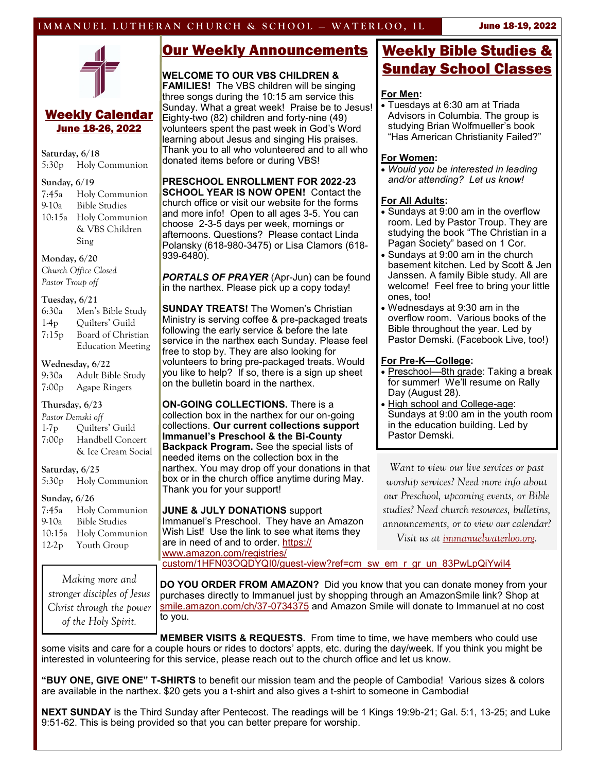## **IMMANUEL LUTHERAN CHURCH & SCHOOL – WATERLOO, IL <b>Lune 18-19, 2022**



### Weekly Calendar June 18-26, 2022

**Saturday, 6/18**

5:30p Holy Communion

#### **Sunday, 6/19**

7:45a Holy Communion 9-10a Bible Studies 10:15a Holy Communion & VBS Children Sing

**Monday, 6/20** *Church Office Closed Pastor Troup off*

#### **Tuesday, 6/21**

| 6:30a             | Men's Bible Study        |  |  |
|-------------------|--------------------------|--|--|
| $1-4p$            | Quilters' Guild          |  |  |
| 7:15p             | Board of Christian       |  |  |
|                   | <b>Education Meeting</b> |  |  |
| Wednesday, 6/22   |                          |  |  |
|                   | 9:30a Adult Bible Study  |  |  |
|                   | 7:00p Agape Ringers      |  |  |
| Thursday, 6/23    |                          |  |  |
| Pastor Demski off |                          |  |  |
| $1-7p$            | Quilters' Guild          |  |  |
|                   | 7:00p Handbell Concert   |  |  |

& Ice Cream Social

#### **Saturday, 6/25**

5:30p Holy Communion

#### **Sunday, 6/26**

| 7:45a   | Holy Communion       |
|---------|----------------------|
| $9-10a$ | <b>Bible Studies</b> |
| 10:15a  | Holy Communion       |
| $12-2p$ | Youth Group          |

*Making more and stronger disciples of Jesus Christ through the power of the Holy Spirit.*

## Our Weekly Announcements

### **WELCOME TO OUR VBS CHILDREN &**

**FAMILIES!** The VBS children will be singing three songs during the 10:15 am service this Sunday. What a great week! Praise be to Jesus! Eighty-two (82) children and forty-nine (49) volunteers spent the past week in God's Word learning about Jesus and singing His praises. Thank you to all who volunteered and to all who donated items before or during VBS!

**PRESCHOOL ENROLLMENT FOR 2022-23 SCHOOL YEAR IS NOW OPEN!** Contact the church office or visit our website for the forms and more info! Open to all ages 3-5. You can choose 2-3-5 days per week, mornings or afternoons. Questions? Please contact Linda Polansky (618-980-3475) or Lisa Clamors (618- 939-6480).

*PORTALS OF PRAYER* (Apr-Jun) can be found in the narthex. Please pick up a copy today!

**SUNDAY TREATS!** The Women's Christian Ministry is serving coffee & pre-packaged treats following the early service & before the late service in the narthex each Sunday. Please feel free to stop by. They are also looking for volunteers to bring pre-packaged treats. Would you like to help? If so, there is a sign up sheet on the bulletin board in the narthex.

**ON-GOING COLLECTIONS.** There is a collection box in the narthex for our on-going collections. **Our current collections support Immanuel's Preschool & the Bi-County Backpack Program.** See the special lists of needed items on the collection box in the narthex. You may drop off your donations in that box or in the church office anytime during May. Thank you for your support!

**JUNE & JULY DONATIONS** support Immanuel's Preschool. They have an Amazon Wish List! Use the link to see what items they are in need of and to order. [https://](https://www.amazon.com/registries/custom/1HFN03OQDYQI0/guest-view?ref=cm_sw_em_r_gr_un_83PwLpQiYwil4) [www.amazon.com/registries/](https://www.amazon.com/registries/custom/1HFN03OQDYQI0/guest-view?ref=cm_sw_em_r_gr_un_83PwLpQiYwil4) custom/1HFN03OQDYQI0/guest-[view?ref=cm\\_sw\\_em\\_r\\_gr\\_un\\_83PwLpQiYwil4](https://www.amazon.com/registries/custom/1HFN03OQDYQI0/guest-view?ref=cm_sw_em_r_gr_un_83PwLpQiYwil4)

# Weekly Bible Studies & Sunday School Classes

#### **For Men:**

• Tuesdays at 6:30 am at Triada Advisors in Columbia. The group is studying Brian Wolfmueller's book "Has American Christianity Failed?"

#### **For Women:**

• *Would you be interested in leading and/or attending? Let us know!*

#### **For All Adults:**

- Sundays at 9:00 am in the overflow room. Led by Pastor Troup. They are studying the book "The Christian in a Pagan Society" based on 1 Cor.
- Sundays at 9:00 am in the church basement kitchen. Led by Scott & Jen Janssen. A family Bible study. All are welcome! Feel free to bring your little ones, too!
- Wednesdays at 9:30 am in the overflow room. Various books of the Bible throughout the year. Led by Pastor Demski. (Facebook Live, too!)

#### **For Pre-K—College:**

- Preschool—8th grade: Taking a break for summer! We'll resume on Rally Day (August 28).
- High school and College-age: Sundays at 9:00 am in the youth room in the education building. Led by Pastor Demski.

*Want to view our live services or past worship services? Need more info about our Preschool, upcoming events, or Bible studies? Need church resources, bulletins, announcements, or to view our calendar? Visit us at [immanuelwaterloo.org.](immanuelwaterloo.org)*

**DO YOU ORDER FROM AMAZON?** Did you know that you can donate money from your purchases directly to Immanuel just by shopping through an AmazonSmile link? Shop at [smile.amazon.com/ch/37](https://smile.amazon.com/gp/f.html?C=3SPMVNSTFHGBR&K=29JZFJO6ZJ3UD&M=urn:rtn:msg:202011161602377e9c00b45e1e4f9eacb53de3e7f0p0na&R=1288G5PAYL9BJ&T=C&U=http%3A%2F%2FSMILE.AMAZON.COM%2Fch%2F37-0734375%3Fref%3Dorg_em_ch_smi_A_hol_eng_mkt&H=STFXRFRTOEJKAUZW866K5DP)-0734375 and Amazon Smile will donate to Immanuel at no cost to you.

**MEMBER VISITS & REQUESTS.** From time to time, we have members who could use some visits and care for a couple hours or rides to doctors' appts, etc. during the day/week. If you think you might be interested in volunteering for this service, please reach out to the church office and let us know.

**"BUY ONE, GIVE ONE" T-SHIRTS** to benefit our mission team and the people of Cambodia! Various sizes & colors are available in the narthex. \$20 gets you a t-shirt and also gives a t-shirt to someone in Cambodia!

**NEXT SUNDAY** is the Third Sunday after Pentecost. The readings will be 1 Kings 19:9b-21; Gal. 5:1, 13-25; and Luke 9:51-62. This is being provided so that you can better prepare for worship.